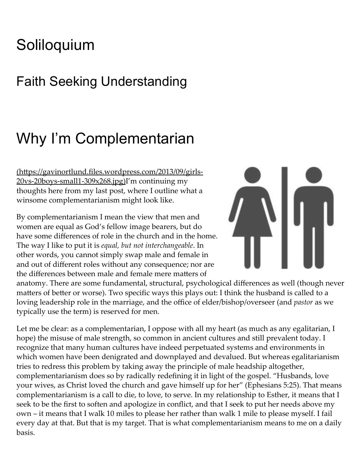## **[Soliloquium](https://gavinortlund.com/)**

### Faith Seeking Understanding

# Why I'm Complementarian

 $(<a href="https://gavinortlund.files.wordpress.com/2013/09/girls-<br/>https://gavinortlund.files.wordpress.com/2013/09/girls-$ 20vs‑20boys‑small1‑309x268.jpg)I'm continuing my thoughts here from my last post, where I outline what a winsome complementarianism might look like.

By complementarianism I mean the view that men and women are equal as God's fellow image bearers, but do have some differences of role in the church and in the home. The way I like to put it is equal, but not interchangeable. In other words, you cannot simply swap male and female in and out of different roles without any consequence; nor are the differences between male and female mere matters of



anatomy. There are some fundamental, structural, psychological differences as well (though never matters of better or worse). Two specific ways this plays out: I think the husband is called to a loving leadership role in the marriage, and the office of elder/bishop/overseer (and pastor as we typically use the term) is reserved for men.

Let me be clear: as a complementarian, I oppose with all my heart (as much as any egalitarian, I hope) the misuse of male strength, so common in ancient cultures and still prevalent today. I recognize that many human cultures have indeed perpetuated systems and environments in which women have been denigrated and downplayed and devalued. But whereas egalitarianism tries to redress this problem by taking away the principle of male headship altogether, complementarianism does so by radically redefining it in light of the gospel. "Husbands, love your wives, as Christ loved the church and gave himself up for her" (Ephesians 5:25). That means complementarianism is a call to die, to love, to serve. In my relationship to Esther, it means that I seek to be the first to soften and apologize in conflict, and that I seek to put her needs above my own – it means that I walk 10 miles to please her rather than walk 1 mile to please myself. I fail every day at that. But that is my target. That is what complementarianism means to me on a daily basis.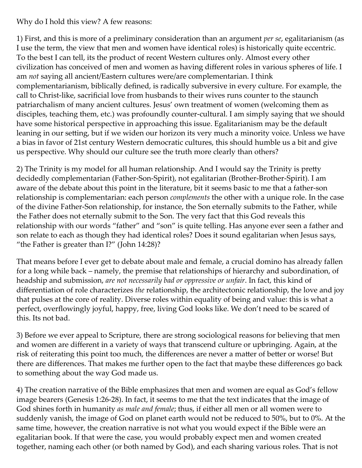Why do I hold this view? A few reasons:

1) First, and this is more of a preliminary consideration than an argument *per se*, egalitarianism (as I use the term, the view that men and women have identical roles) is historically quite eccentric. To the best I can tell, its the product of recent Western cultures only. Almost every other civilization has conceived of men and women as having different roles in various spheres of life. I am not saying all ancient/Eastern cultures were/are complementarian. I think complementarianism, biblically defined, is radically subversive in every culture. For example, the call to Christ-like, sacrificial love from husbands to their wives runs counter to the staunch patriarchalism of many ancient cultures. Jesus' own treatment of women (welcoming them as disciples, teaching them, etc.) was profoundly counter-cultural. I am simply saying that we should have some historical perspective in approaching this issue. Egalitarianism may be the default leaning in our setting, but if we widen our horizon its very much a minority voice. Unless we have a bias in favor of 21st century Western democratic cultures, this should humble us a bit and give us perspective. Why should our culture see the truth more clearly than others?

2) The Trinity is my model for all human relationship. And I would say the Trinity is pretty decidedly complementarian (Father‑Son‑Spirit), not egalitarian (Brother‑Brother‑Spirit). I am aware of the debate about this point in the literature, bit it seems basic to me that a father-son relationship is complementarian: each person complements the other with a unique role. In the case of the divine Father‑Son relationship, for instance, the Son eternally submits to the Father, while the Father does not eternally submit to the Son. The very fact that this God reveals this relationship with our words "father" and "son" is quite telling. Has anyone ever seen a father and son relate to each as though they had identical roles? Does it sound egalitarian when Jesus says, "the Father is greater than I?" (John 14:28)?

That means before I ever get to debate about male and female, a crucial domino has already fallen for a long while back – namely, the premise that relationships of hierarchy and subordination, of headship and submission, are not necessarily bad or oppressive or unfair. In fact, this kind of differentiation of role characterizes the relationship, the architectonic relationship, the love and joy that pulses at the core of reality. Diverse roles within equality of being and value: this is what a perfect, overflowingly joyful, happy, free, living God looks like. We don't need to be scared of this. Its not bad.

3) Before we ever appeal to Scripture, there are strong sociological reasons for believing that men and women are different in a variety of ways that transcend culture or upbringing. Again, at the risk of reiterating this point too much, the differences are never a matter of better or worse! But there are differences. That makes me further open to the fact that maybe these differences go back to something about the way God made us.

4) The creation narrative of the Bible emphasizes that men and women are equal as God's fellow image bearers (Genesis 1:26‑28). In fact, it seems to me that the text indicates that the image of God shines forth in humanity as male and female; thus, if either all men or all women were to suddenly vanish, the image of God on planet earth would not be reduced to 50%, but to 0%. At the same time, however, the creation narrative is not what you would expect if the Bible were an egalitarian book. If that were the case, you would probably expect men and women created together, naming each other (or both named by God), and each sharing various roles. That is not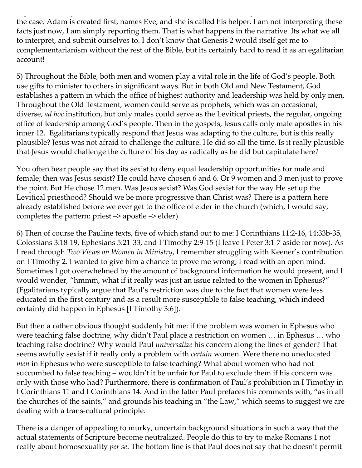the case. Adam is created first, names Eve, and she is called his helper. I am not interpreting these facts just now, I am simply reporting them. That is what happens in the narrative. Its what we all to interpret, and submit ourselves to. I don't know that Genesis 2 would itself get me to complementarianism without the rest of the Bible, but its certainly hard to read it as an egalitarian account!

5) Throughout the Bible, both men and women play a vital role in the life of God's people. Both use gifts to minister to others in significant ways. But in both Old and New Testament, God establishes a pattern in which the office of highest authority and leadership was held by only men. Throughout the Old Testament, women could serve as prophets, which was an occasional, diverse, ad hoc institution, but only males could serve as the Levitical priests, the regular, ongoing office of leadership among God's people. Then in the gospels, Jesus calls only male apostles in his inner 12. Egalitarians typically respond that Jesus was adapting to the culture, but is this really plausible? Jesus was not afraid to challenge the culture. He did so all the time. Is it really plausible that Jesus would challenge the culture of his day as radically as he did but capitulate here?

You often hear people say that its sexist to deny equal leadership opportunities for male and female; then was Jesus sexist? He could have chosen 6 and 6. Or 9 women and 3 men just to prove the point. But He chose 12 men. Was Jesus sexist? Was God sexist for the way He set up the Levitical priesthood? Should we be more progressive than Christ was? There is a pattern here already established before we ever get to the office of elder in the church (which, I would say, completes the pattern: priest  $\rightarrow$  apostle  $\rightarrow$  elder).

6) Then of course the Pauline texts, five of which stand out to me: I Corinthians 11:2‑16, 14:33b‑35, Colossians 3:18‑19, Ephesians 5:21‑33, and I Timothy 2:9‑15 (I leave I Peter 3:1‑7 aside for now). As I read through Two Views on Women in Ministry, I remember struggling with Keener's contribution on I Timothy 2. I wanted to give him a chance to prove me wrong; I read with an open mind. Sometimes I got overwhelmed by the amount of background information he would present, and I would wonder, "hmmm, what if it really was just an issue related to the women in Ephesus?" (Egalitarians typically argue that Paul's restriction was due to the fact that women were less educated in the first century and as a result more susceptible to false teaching, which indeed certainly did happen in Ephesus [I Timothy 3:6]).

But then a rather obvious thought suddenly hit me: if the problem was women in Ephesus who were teaching false doctrine, why didn't Paul place a restriction on women … in Ephesus … who teaching false doctrine? Why would Paul universalize his concern along the lines of gender? That seems awfully sexist if it really only a problem with certain women. Were there no uneducated *men* in Ephesus who were susceptible to false teaching? What about women who had not succumbed to false teaching – wouldn't it be unfair for Paul to exclude them if his concern was only with those who had? Furthermore, there is confirmation of Paul's prohibition in I Timothy in I Corinthians 11 and I Corinthians 14. And in the latter Paul prefaces his comments with, "as in all the churches of the saints," and grounds his teaching in "the Law," which seems to suggest we are dealing with a trans‑cultural principle.

There is a danger of appealing to murky, uncertain background situations in such a way that the actual statements of Scripture become neutralized. People do this to try to make Romans 1 not really about homosexuality *per se*. The bottom line is that Paul does not say that he doesn't permit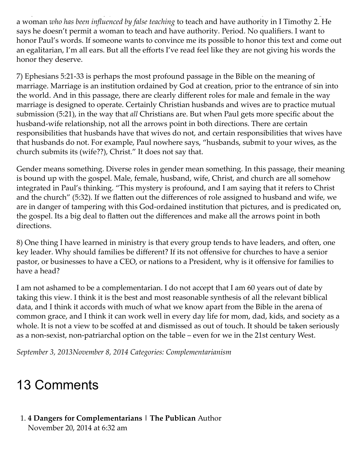a woman who has been influenced by false teaching to teach and have authority in I Timothy 2. He says he doesn't permit a woman to teach and have authority. Period. No qualifiers. I want to honor Paul's words. If someone wants to convince me its possible to honor this text and come out an egalitarian, I'm all ears. But all the efforts I've read feel like they are not giving his words the honor they deserve.

7) Ephesians 5:21‑33 is perhaps the most profound passage in the Bible on the meaning of marriage. Marriage is an institution ordained by God at creation, prior to the entrance of sin into the world. And in this passage, there are clearly different roles for male and female in the way marriage is designed to operate. Certainly Christian husbands and wives are to practice mutual submission (5:21), in the way that all Christians are. But when Paul gets more specific about the husband-wife relationship, not all the arrows point in both directions. There are certain responsibilities that husbands have that wives do not, and certain responsibilities that wives have that husbands do not. For example, Paul nowhere says, "husbands, submit to your wives, as the church submits its (wife??), Christ." It does not say that.

Gender means something. Diverse roles in gender mean something. In this passage, their meaning is bound up with the gospel. Male, female, husband, wife, Christ, and church are all somehow integrated in Paul's thinking. "This mystery is profound, and I am saying that it refers to Christ and the church" (5:32). If we flatten out the differences of role assigned to husband and wife, we are in danger of tampering with this God-ordained institution that pictures, and is predicated on, the gospel. Its a big deal to flatten out the differences and make all the arrows point in both directions.

8) One thing I have learned in ministry is that every group tends to have leaders, and often, one key leader. Why should families be different? If its not offensive for churches to have a senior pastor, or businesses to have a CEO, or nations to a President, why is it offensive for families to have a head?

I am not ashamed to be a complementarian. I do not accept that I am 60 years out of date by taking this view. I think it is the best and most reasonable synthesis of all the relevant biblical data, and I think it accords with much of what we know apart from the Bible in the arena of common grace, and I think it can work well in every day life for mom, dad, kids, and society as a whole. It is not a view to be scoffed at and dismissed as out of touch. It should be taken seriously as a non‑sexist, non‑patriarchal option on the table – even for we in the 21st century West.

September 3, [2013November](https://gavinortlund.com/2013/09/03/why-im-complementarian/) 8, 2014 Categories: [Complementarianism](https://gavinortlund.com/category/theology/complementarianism/)

### 13 Comments

#### <span id="page-3-0"></span>1. 4 Dangers for [Complementarians](http://adamwpowers.com/2014/11/20/4-dangers-for-complementarians/) | The Publican Author [November](#page-3-0) 20, 2014 at 6:32 am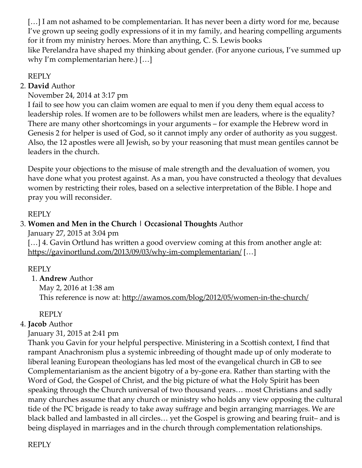[...] I am not ashamed to be complementarian. It has never been a dirty word for me, because I've grown up seeing godly expressions of it in my family, and hearing compelling arguments for it from my ministry heroes. More than anything, C. S. Lewis books like Perelandra have shaped my thinking about gender. (For anyone curious, I've summed up why I'm complementarian here.) […]

#### [REPLY](https://gavinortlund.com/2013/09/03/why-im-complementarian/?replytocom=12082#respond)

#### <span id="page-4-0"></span>2. David Author

[November](#page-4-0) 24, 2014 at 3:17 pm

I fail to see how you can claim women are equal to men if you deny them equal access to leadership roles. If women are to be followers whilst men are leaders, where is the equality? There are many other shortcomings in your arguments – for example the Hebrew word in Genesis 2 for helper is used of God, so it cannot imply any order of authority as you suggest. Also, the 12 apostles were all Jewish, so by your reasoning that must mean gentiles cannot be leaders in the church.

Despite your objections to the misuse of male strength and the devaluation of women, you have done what you protest against. As a man, you have constructed a theology that devalues women by restricting their roles, based on a selective interpretation of the Bible. I hope and pray you will reconsider.

#### [REPLY](https://gavinortlund.com/2013/09/03/why-im-complementarian/?replytocom=12269#respond)

#### <span id="page-4-1"></span>3. Women and Men in the Church | [Occasional](http://www.kec.org.au/blog/2012/05/women-in-the-church/) Thoughts Author

[January](#page-4-1) 27, 2015 at 3:04 pm

[...] 4. Gavin Ortlund has written a good overview coming at this from another angle at: https://gavinortlund.com/2013/09/03/why-im-complementarian/ [...]

#### [REPLY](https://gavinortlund.com/2013/09/03/why-im-complementarian/?replytocom=14578#respond)

#### <span id="page-4-2"></span>1. Andrew Author

[May](#page-4-2) 2, 2016 at 1:38 am This reference is now at: http://awamos.com/blog/2012/05/women-in-the-church/

#### [REPLY](https://gavinortlund.com/2013/09/03/why-im-complementarian/?replytocom=18554#respond)

#### <span id="page-4-3"></span>4. [Jacob](http://www.glenrothesbaptistchurch.org.uk/) Author

[January](#page-4-3) 31, 2015 at 2:41 pm

Thank you Gavin for your helpful perspective. Ministering in a Scottish context, I find that rampant Anachronism plus a systemic inbreeding of thought made up of only moderate to liberal leaning European theologians has led most of the evangelical church in GB to see Complementarianism as the ancient bigotry of a by‑gone era. Rather than starting with the Word of God, the Gospel of Christ, and the big picture of what the Holy Spirit has been speaking through the Church universal of two thousand years… most Christians and sadly many churches assume that any church or ministry who holds any view opposing the cultural tide of the PC brigade is ready to take away suffrage and begin arranging marriages. We are black balled and lambasted in all circles… yet the Gospel is growing and bearing fruit– and is being displayed in marriages and in the church through complementation relationships.

[REPLY](https://gavinortlund.com/2013/09/03/why-im-complementarian/?replytocom=14741#respond)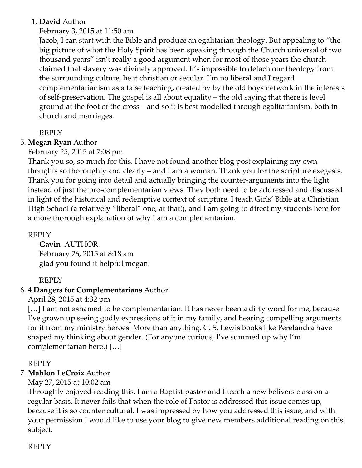#### <span id="page-5-0"></span>1. David Author

#### [February](#page-5-0) 3, 2015 at 11:50 am

Jacob, I can start with the Bible and produce an egalitarian theology. But appealing to "the big picture of what the Holy Spirit has been speaking through the Church universal of two thousand years" isn't really a good argument when for most of those years the church claimed that slavery was divinely approved. It's impossible to detach our theology from the surrounding culture, be it christian or secular. I'm no liberal and I regard complementarianism as a false teaching, created by by the old boys network in the interests of self‑preservation. The gospel is all about equality – the old saying that there is level ground at the foot of the cross – and so it is best modelled through egalitarianism, both in church and marriages.

#### [REPLY](https://gavinortlund.com/2013/09/03/why-im-complementarian/?replytocom=14872#respond)

#### <span id="page-5-1"></span>5. Megan Ryan Author

#### [February](#page-5-1) 25, 2015 at 7:08 pm

Thank you so, so much for this. I have not found another blog post explaining my own thoughts so thoroughly and clearly – and I am a woman. Thank you for the scripture exegesis. Thank you for going into detail and actually bringing the counter‑arguments into the light instead of just the pro‑complementarian views. They both need to be addressed and discussed in light of the historical and redemptive context of scripture. I teach Girls' Bible at a Christian High School (a relatively "liberal" one, at that!), and I am going to direct my students here for a more thorough explanation of why I am a complementarian.

#### [REPLY](https://gavinortlund.com/2013/09/03/why-im-complementarian/?replytocom=15363#respond)

<span id="page-5-2"></span>[Gavin](http://gavinortlund.com/) AUTHOR [February](#page-5-2) 26, 2015 at 8:18 am glad you found it helpful megan!

#### [REPLY](https://gavinortlund.com/2013/09/03/why-im-complementarian/?replytocom=15374#respond)

#### <span id="page-5-3"></span>6. 4 Dangers for [Complementarians](http://theaquilareport.com/4-dangers-for-complementarians/) Author

[April](#page-5-3) 28, 2015 at 4:32 pm

[...] I am not ashamed to be complementarian. It has never been a dirty word for me, because I've grown up seeing godly expressions of it in my family, and hearing compelling arguments for it from my ministry heroes. More than anything, C. S. Lewis books like Perelandra have shaped my thinking about gender. (For anyone curious, I've summed up why I'm complementarian here.) […]

#### [REPLY](https://gavinortlund.com/2013/09/03/why-im-complementarian/?replytocom=16038#respond)

#### <span id="page-5-4"></span>7. Mahlon LeCroix Author

May 27, 2015 at [10:02](#page-5-4) am

Throughly enjoyed reading this. I am a Baptist pastor and I teach a new belivers class on a regular basis. It never fails that when the role of Pastor is addressed this issue comes up, because it is so counter cultural. I was impressed by how you addressed this issue, and with your permission I would like to use your blog to give new members additional reading on this subject.

[REPLY](https://gavinortlund.com/2013/09/03/why-im-complementarian/?replytocom=16222#respond)